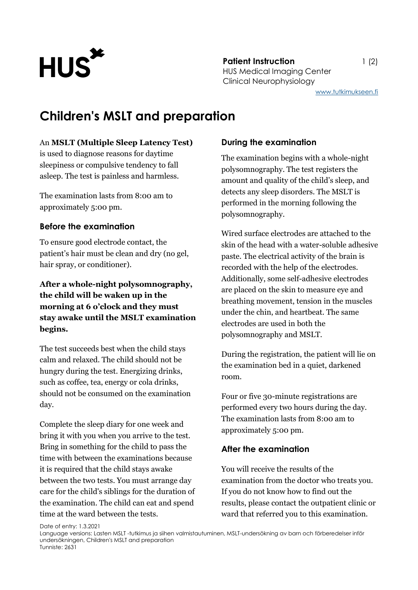

**Patient Instruction** 1 (2) HUS Medical Imaging Center Clinical Neurophysiology

# **Children's MSLT and preparation**

### An **MSLT (Multiple Sleep Latency Test)**

is used to diagnose reasons for daytime sleepiness or compulsive tendency to fall asleep. The test is painless and harmless.

The examination lasts from 8:00 am to approximately 5:00 pm.

### **Before the examination**

To ensure good electrode contact, the patient's hair must be clean and dry (no gel, hair spray, or conditioner).

# **After a whole-night polysomnography, the child will be waken up in the morning at 6 o'clock and they must stay awake until the MSLT examination begins.**

The test succeeds best when the child stays calm and relaxed. The child should not be hungry during the test. Energizing drinks, such as coffee, tea, energy or cola drinks, should not be consumed on the examination day.

Complete the sleep diary for one week and bring it with you when you arrive to the test. Bring in something for the child to pass the time with between the examinations because it is required that the child stays awake between the two tests. You must arrange day care for the child's siblings for the duration of the examination. The child can eat and spend time at the ward between the tests.

## **During the examination**

The examination begins with a whole-night polysomnography. The test registers the amount and quality of the child's sleep, and detects any sleep disorders. The MSLT is performed in the morning following the polysomnography.

Wired surface electrodes are attached to the skin of the head with a water-soluble adhesive paste. The electrical activity of the brain is recorded with the help of the electrodes. Additionally, some self-adhesive electrodes are placed on the skin to measure eye and breathing movement, tension in the muscles under the chin, and heartbeat. The same electrodes are used in both the polysomnography and MSLT.

During the registration, the patient will lie on the examination bed in a quiet, darkened room.

Four or five 30-minute registrations are performed every two hours during the day. The examination lasts from 8:00 am to approximately 5:00 pm.

## **After the examination**

You will receive the results of the examination from the doctor who treats you. If you do not know how to find out the results, please contact the outpatient clinic or ward that referred you to this examination.

Date of entry: 1.3.2021